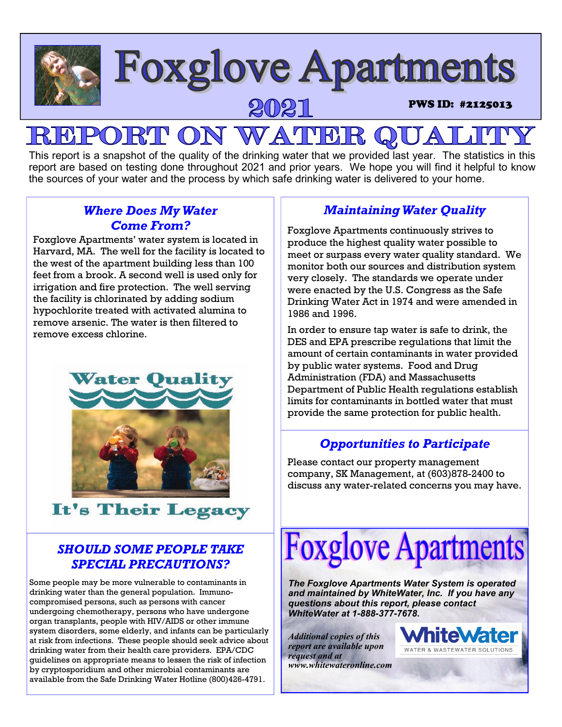

## **R**I **PON WATHE**

This report is a snapshot of the quality of the drinking water that we provided last year. The statistics in this report are based on testing done throughout 2021 and prior years. We hope you will find it helpful to know the sources of your water and the process by which safe drinking water is delivered to your home.

## *Where Does My Water Come From?*

Foxglove Apartments' water system is located in Harvard, MA. The well for the facility is located to the west of the apartment building less than 100 feet from a brook. A second well is used only for irrigation and fire protection. The well serving the facility is chlorinated by adding sodium hypochlorite treated with activated alumina to remove arsenic. The water is then filtered to remove excess chlorine.



# It's Their Legacy

## *SHOULD SOME PEOPLE TAKE SPECIAL PRECAUTIONS?*

Some people may be more vulnerable to contaminants in drinking water than the general population. Immunocompromised persons, such as persons with cancer undergoing chemotherapy, persons who have undergone organ transplants, people with HIV/AIDS or other immune system disorders, some elderly, and infants can be particularly at risk from infections. These people should seek advice about drinking water from their health care providers. EPA/CDC guidelines on appropriate means to lessen the risk of infection by cryptosporidium and other microbial contaminants are available from the Safe Drinking Water Hotline (800)426-4791.

## *Maintaining Water Quality*

Foxglove Apartments continuously strives to produce the highest quality water possible to meet or surpass every water quality standard. We monitor both our sources and distribution system very closely. The standards we operate under were enacted by the U.S. Congress as the Safe Drinking Water Act in 1974 and were amended in 1986 and 1996.

In order to ensure tap water is safe to drink, the DES and EPA prescribe regulations that limit the amount of certain contaminants in water provided by public water systems. Food and Drug Administration (FDA) and Massachusetts Department of Public Health regulations establish limits for contaminants in bottled water that must provide the same protection for public health.

## *Opportunities to Participate*

Please contact our property management company, SK Management, at (603)878-2400 to discuss any water-related concerns you may have.



*The Foxglove Apartments Water System is operated and maintained by WhiteWater, Inc. If you have any questions about this report, please contact WhiteWater at 1-888-377-7678.* 

*Additional copies of this report are available upon request and at www.whitewateronline.com* 

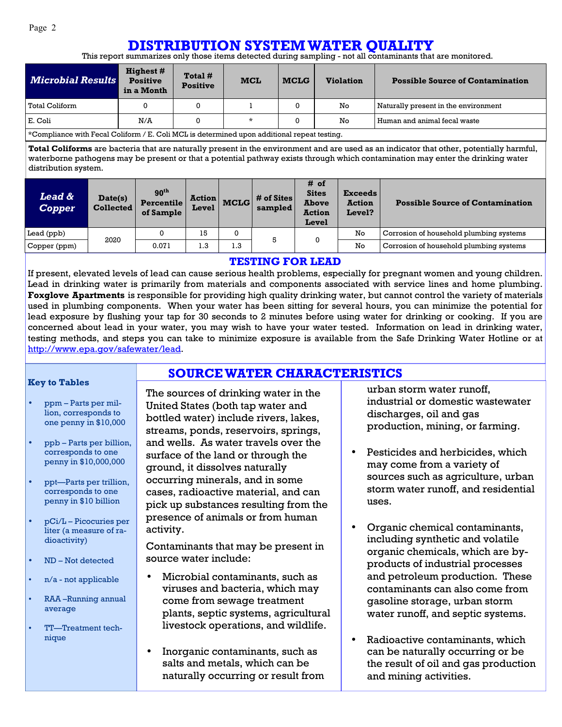## **DISTRIBUTION SYSTEM WATER QUALITY**

This report summarizes only those items detected during sampling - not all contaminants that are monitored.

| <b>Microbial Results</b>                                                                           | <b>Highest</b> #<br><b>Positive</b><br>in a Month | Total #<br><b>Positive</b> | <b>MCL</b> | <b>MCLG</b> | <b>Violation</b> | <b>Possible Source of Contamination</b> |  |
|----------------------------------------------------------------------------------------------------|---------------------------------------------------|----------------------------|------------|-------------|------------------|-----------------------------------------|--|
| Total Coliform                                                                                     |                                                   | 0                          |            |             | No               | Naturally present in the environment    |  |
| E. Coli                                                                                            | N/A                                               |                            | $\star$    |             | No               | Human and animal fecal waste            |  |
| $\star$ Compliance with Fecal Coliform / E. Coli MCL is determined upon additional repeat testing. |                                                   |                            |            |             |                  |                                         |  |

\*Compliance with Fecal Coliform / E. Coli MCL is determined upon additional repeat testing.

**Total Coliforms** are bacteria that are naturally present in the environment and are used as an indicator that other, potentially harmful, waterborne pathogens may be present or that a potential pathway exists through which contamination may enter the drinking water distribution system.

| <b>Lead &amp;</b><br><b>Copper</b> | Date(s)<br>Collected | 90 <sup>th</sup><br><b>Percentile</b><br>of Sample | <b>Action</b><br>Level | <b>MCLG</b> | # of Sites<br>sampled | # of<br><b>Sites</b><br><b>Above</b><br><b>Action</b><br>Level | <b>Exceeds</b><br><b>Action</b><br><b>Level?</b> | <b>Possible Source of Contamination</b> |
|------------------------------------|----------------------|----------------------------------------------------|------------------------|-------------|-----------------------|----------------------------------------------------------------|--------------------------------------------------|-----------------------------------------|
| Lead (ppb)                         | 2020                 |                                                    | 15                     |             | 5                     | $\Omega$                                                       | No                                               | Corrosion of household plumbing systems |
| Copper (ppm)                       |                      | 0.071                                              | 1.3                    | 1.3         |                       |                                                                | No                                               | Corrosion of household plumbing systems |

#### **TESTING FOR LEAD**

If present, elevated levels of lead can cause serious health problems, especially for pregnant women and young children. Lead in drinking water is primarily from materials and components associated with service lines and home plumbing. **Foxglove Apartments** is responsible for providing high quality drinking water, but cannot control the variety of materials used in plumbing components. When your water has been sitting for several hours, you can minimize the potential for lead exposure by flushing your tap for 30 seconds to 2 minutes before using water for drinking or cooking. If you are concerned about lead in your water, you may wish to have your water tested. Information on lead in drinking water, testing methods, and steps you can take to minimize exposure is available from the Safe Drinking Water Hotline or at http://www.epa.gov/safewater/lead.

**SOURCE WATER CHARACTERISTICS**

#### **Key to Tables**

- ppm Parts per million, corresponds to one penny in \$10,000
- ppb Parts per billion, corresponds to one penny in \$10,000,000
- ppt—Parts per trillion, corresponds to one penny in \$10 billion
- pCi/L Picocuries per liter (a measure of radioactivity)
- ND Not detected
- n/a not applicable
- RAA –Running annual average
- TT—Treatment technique

The sources of drinking water in the United States (both tap water and bottled water) include rivers, lakes, streams, ponds, reservoirs, springs, and wells. As water travels over the surface of the land or through the ground, it dissolves naturally occurring minerals, and in some cases, radioactive material, and can pick up substances resulting from the presence of animals or from human activity.

Contaminants that may be present in source water include:

- Microbial contaminants, such as viruses and bacteria, which may come from sewage treatment plants, septic systems, agricultural livestock operations, and wildlife.
- Inorganic contaminants, such as salts and metals, which can be naturally occurring or result from

urban storm water runoff, industrial or domestic wastewater discharges, oil and gas production, mining, or farming.

- Pesticides and herbicides, which may come from a variety of sources such as agriculture, urban storm water runoff, and residential uses.
- Organic chemical contaminants, including synthetic and volatile organic chemicals, which are byproducts of industrial processes and petroleum production. These contaminants can also come from gasoline storage, urban storm water runoff, and septic systems.
- Radioactive contaminants, which can be naturally occurring or be the result of oil and gas production and mining activities.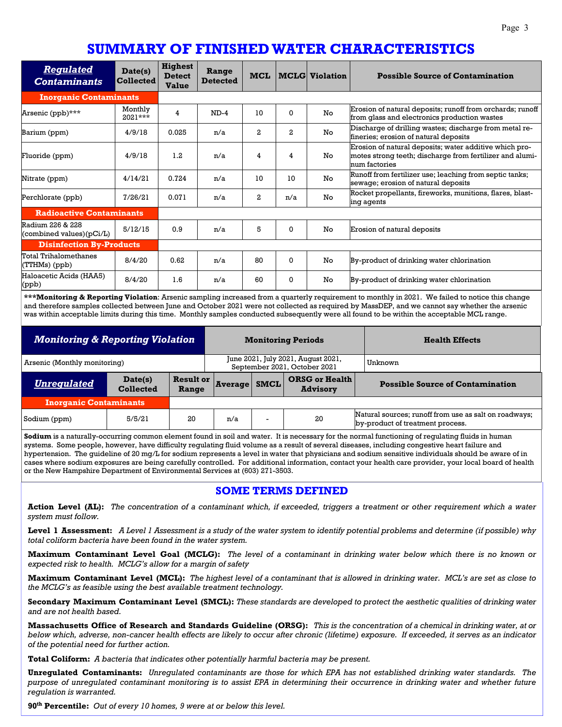## **SUMMARY OF FINISHED WATER CHARACTERISTICS**

| <b>Regulated</b><br><b>Contaminants</b>         | Date(s)<br><b>Collected</b> | <b>Highest</b><br><b>Detect</b><br><b>Value</b> | Range<br><b>Detected</b> | <b>MCL</b>   |              | <b>MCLG</b> Violation | <b>Possible Source of Contamination</b>                                                                                             |
|-------------------------------------------------|-----------------------------|-------------------------------------------------|--------------------------|--------------|--------------|-----------------------|-------------------------------------------------------------------------------------------------------------------------------------|
| <b>Inorganic Contaminants</b>                   |                             |                                                 |                          |              |              |                       |                                                                                                                                     |
| Arsenic (ppb)***                                | Monthly<br>$2021***$        | 4                                               | $ND-4$                   | 10           | $\Omega$     | No                    | Erosion of natural deposits; runoff from orchards; runoff<br>from glass and electronics production wastes                           |
| Barium (ppm)                                    | 4/9/18                      | 0.025                                           | n/a                      | $\mathbf{2}$ | $^{2}$       | No                    | Discharge of drilling wastes; discharge from metal re-<br>fineries; erosion of natural deposits                                     |
| Fluoride (ppm)                                  | 4/9/18                      | 1.2                                             | n/a                      | 4            | 4            | No                    | Erosion of natural deposits; water additive which pro-<br>motes strong teeth; discharge from fertilizer and alumi-<br>num factories |
| Nitrate (ppm)                                   | 4/14/21                     | 0.724                                           | n/a                      | 10           | 10           | No                    | Runoff from fertilizer use; leaching from septic tanks;<br>sewage; erosion of natural deposits                                      |
| Perchlorate (ppb)                               | 7/26/21                     | 0.071                                           | n/a                      | $\mathbf{2}$ | n/a          | No                    | Rocket propellants, fireworks, munitions, flares, blast-<br>ing agents                                                              |
| <b>Radioactive Contaminants</b>                 |                             |                                                 |                          |              |              |                       |                                                                                                                                     |
| Radium 226 & 228<br>(combined values) $(pCi/L)$ | 5/12/15                     | 0.9                                             | n/a                      | 5            | $\Omega$     | No                    | Erosion of natural deposits                                                                                                         |
| <b>Disinfection By-Products</b>                 |                             |                                                 |                          |              |              |                       |                                                                                                                                     |
| Total Trihalomethanes<br>(TTHMs) (ppb)          | 8/4/20                      | 0.62                                            | n/a                      | 80           | $\mathbf{0}$ | No                    | By-product of drinking water chlorination                                                                                           |
| Haloacetic Acids (HAA5)<br>(ppb)                | 8/4/20                      | 1.6                                             | n/a                      | 60           | $\Omega$     | No                    | By-product of drinking water chlorination                                                                                           |

**\*\*\*Monitoring & Reporting Violation**: Arsenic sampling increased from a quarterly requirement to monthly in 2021. We failed to notice this change and therefore samples collected between June and October 2021 were not collected as required by MassDEP, and we cannot say whether the arsenic was within acceptable limits during this time. Monthly samples conducted subsequently were all found to be within the acceptable MCL range.

| <b>Monitoring &amp; Reporting Violation</b> |                             |                           | <b>Monitoring Periods</b> | <b>Health Effects</b>                                              |         |                                                                                           |
|---------------------------------------------|-----------------------------|---------------------------|---------------------------|--------------------------------------------------------------------|---------|-------------------------------------------------------------------------------------------|
| Arsenic (Monthly monitoring)                |                             |                           |                           | June 2021, July 2021, August 2021,<br>September 2021, October 2021 | Unknown |                                                                                           |
| <b>Unregulated</b>                          | Date(s)<br><b>Collected</b> | <b>Result or</b><br>Range | <b>Average</b>            | <b>ORSG or Health</b><br><b>SMCL</b><br><b>Advisory</b>            |         | <b>Possible Source of Contamination</b>                                                   |
| <b>Inorganic Contaminants</b>               |                             |                           |                           |                                                                    |         |                                                                                           |
| Sodium (ppm)                                | 5/5/21                      | 20                        | n/a                       | $\overline{\phantom{0}}$                                           | 20      | Natural sources; runoff from use as salt on roadways;<br>by-product of treatment process. |

**Sodium** is a naturally-occurring common element found in soil and water. It is necessary for the normal functioning of regulating fluids in human systems. Some people, however, have difficulty regulating fluid volume as a result of several diseases, including congestive heart failure and hypertension. The guideline of 20 mg/L for sodium represents a level in water that physicians and sodium sensitive individuals should be aware of in cases where sodium exposures are being carefully controlled. For additional information, contact your health care provider, your local board of health or the New Hampshire Department of Environmental Services at (603) 271-3503.

#### **SOME TERMS DEFINED**

**Action Level (AL):** *The concentration of a contaminant which, if exceeded, triggers a treatment or other requirement which a water system must follow.* 

**Level 1 Assessment:** *A Level 1 Assessment is a study of the water system to identify potential problems and determine (if possible) why total coliform bacteria have been found in the water system.* 

**Maximum Contaminant Level Goal (MCLG):** *The level of a contaminant in drinking water below which there is no known or expected risk to health. MCLG's allow for a margin of safety* 

**Maximum Contaminant Level (MCL):** *The highest level of a contaminant that is allowed in drinking water. MCL's are set as close to the MCLG's as feasible using the best available treatment technology.* 

**Secondary Maximum Contaminant Level (SMCL):** *These standards are developed to protect the aesthetic qualities of drinking water and are not health based.* 

**Massachusetts Office of Research and Standards Guideline (ORSG):** *This is the concentration of a chemical in drinking water, at or below which, adverse, non-cancer health effects are likely to occur after chronic (lifetime) exposure. If exceeded, it serves as an indicator of the potential need for further action.* 

**Total Coliform:** *A bacteria that indicates other potentially harmful bacteria may be present.* 

**Unregulated Contaminants:** *Unregulated contaminants are those for which EPA has not established drinking water standards. The purpose of unregulated contaminant monitoring is to assist EPA in determining their occurrence in drinking water and whether future regulation is warranted.* 

**90th Percentile:** *Out of every 10 homes, 9 were at or below this level.*